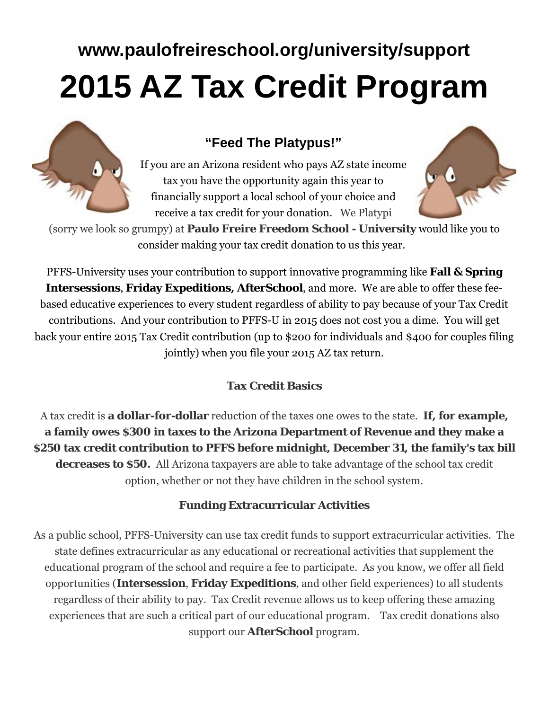# **www.paulofreireschool.org/university/support 2015 AZ Tax Credit Program**

### **"Feed The Platypus!"**

If you are an Arizona resident who pays AZ state income tax you have the opportunity again this year to financially support a local school of your choice and receive a tax credit for your donation. We Platypi



(sorry we look so grumpy) at **Paulo Freire Freedom School - University** would like you to consider making your tax credit donation to us this year.

PFFS-University uses your contribution to support innovative programming like **Fall & Spring Intersessions**, **Friday Expeditions, AfterSchool**, and more. We are able to offer these feebased educative experiences to every student regardless of ability to pay because of your Tax Credit contributions. And your contribution to PFFS-U in 2015 does not cost you a dime. You will get back your entire 2015 Tax Credit contribution (up to \$200 for individuals and \$400 for couples filing jointly) when you file your 2015 AZ tax return.

#### **Tax Credit Basics**

A tax credit is **a dollar-for-dollar** reduction of the taxes one owes to the state. **If, for example, a family owes \$300 in taxes to the Arizona Department of Revenue and they make a \$250 tax credit contribution to PFFS before midnight, December 31, the family's tax bill decreases to \$50.** All Arizona taxpayers are able to take advantage of the school tax credit option, whether or not they have children in the school system.

#### **Funding Extracurricular Activities**

As a public school, PFFS-University can use tax credit funds to support extracurricular activities. The state defines extracurricular as any educational or recreational activities that supplement the educational program of the school and require a fee to participate. As you know, we offer all field opportunities (**Intersession**, **Friday Expeditions**, and other field experiences) to all students regardless of their ability to pay. Tax Credit revenue allows us to keep offering these amazing experiences that are such a critical part of our educational program. Tax credit donations also support our **AfterSchool** program.